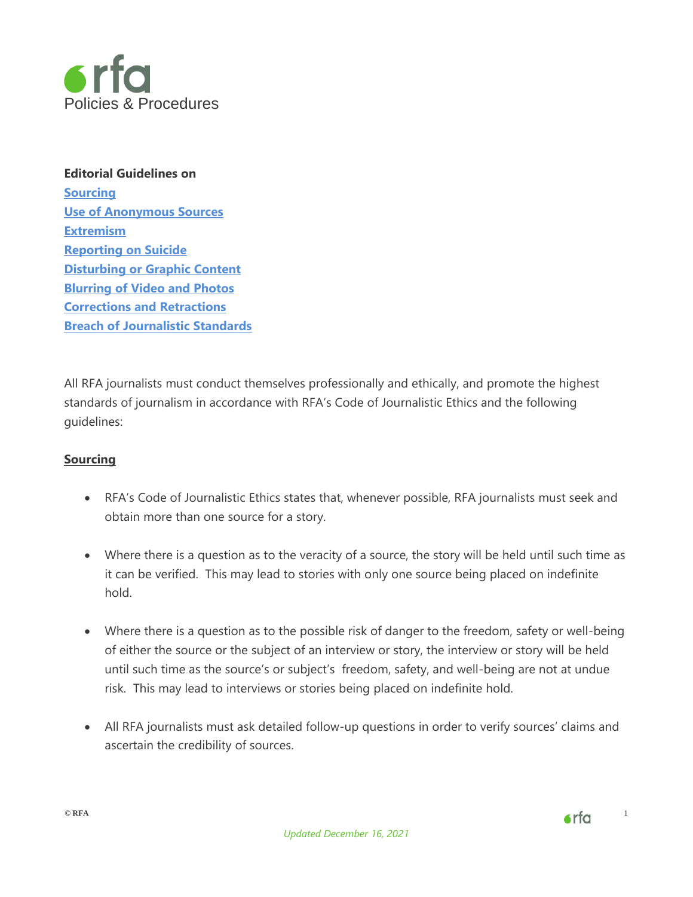

**Editorial Guidelines on [Sourcing](#page-0-0)  [Use of Anonymous Sources](#page-2-0)  [Extremism](#page-4-0)  [Reporting on Suicide](#page-5-0)  [Disturbing or Graphic Content](#page-7-0)  [Blurring of Video and Photos](#page-10-0)  [Corrections and Retractions](#page-11-0)  [Breach of Journalistic Standards](#page-11-1)** 

All RFA journalists must conduct themselves professionally and ethically, and promote the highest standards of journalism in accordance with RFA's Code of Journalistic Ethics and the following guidelines:

## <span id="page-0-0"></span>**Sourcing**

- RFA's Code of Journalistic Ethics states that, whenever possible, RFA journalists must seek and obtain more than one source for a story.
- Where there is a question as to the veracity of a source, the story will be held until such time as it can be verified. This may lead to stories with only one source being placed on indefinite hold.
- Where there is a question as to the possible risk of danger to the freedom, safety or well-being of either the source or the subject of an interview or story, the interview or story will be held until such time as the source's or subject's freedom, safety, and well-being are not at undue risk. This may lead to interviews or stories being placed on indefinite hold.
- All RFA journalists must ask detailed follow-up questions in order to verify sources' claims and ascertain the credibility of sources.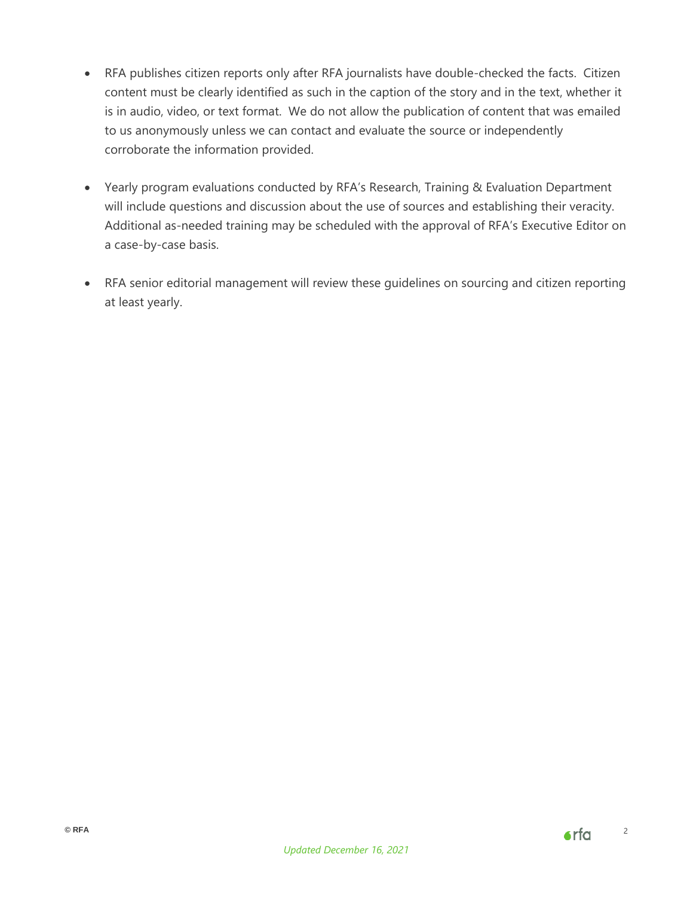- RFA publishes citizen reports only after RFA journalists have double-checked the facts. Citizen content must be clearly identified as such in the caption of the story and in the text, whether it is in audio, video, or text format. We do not allow the publication of content that was emailed to us anonymously unless we can contact and evaluate the source or independently corroborate the information provided.
- Yearly program evaluations conducted by RFA's Research, Training & Evaluation Department will include questions and discussion about the use of sources and establishing their veracity. Additional as-needed training may be scheduled with the approval of RFA's Executive Editor on a case-by-case basis.
- RFA senior editorial management will review these guidelines on sourcing and citizen reporting at least yearly.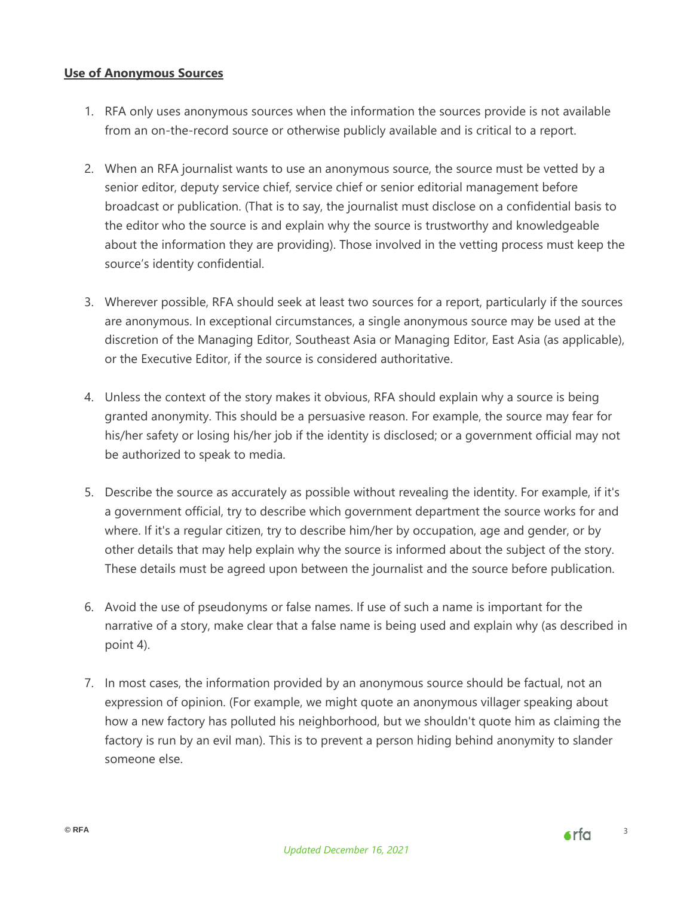#### <span id="page-2-0"></span>**Use of Anonymous Sources**

- 1. RFA only uses anonymous sources when the information the sources provide is not available from an on-the-record source or otherwise publicly available and is critical to a report.
- 2. When an RFA journalist wants to use an anonymous source, the source must be vetted by a senior editor, deputy service chief, service chief or senior editorial management before broadcast or publication. (That is to say, the journalist must disclose on a confidential basis to the editor who the source is and explain why the source is trustworthy and knowledgeable about the information they are providing). Those involved in the vetting process must keep the source's identity confidential.
- 3. Wherever possible, RFA should seek at least two sources for a report, particularly if the sources are anonymous. In exceptional circumstances, a single anonymous source may be used at the discretion of the Managing Editor, Southeast Asia or Managing Editor, East Asia (as applicable), or the Executive Editor, if the source is considered authoritative.
- 4. Unless the context of the story makes it obvious, RFA should explain why a source is being granted anonymity. This should be a persuasive reason. For example, the source may fear for his/her safety or losing his/her job if the identity is disclosed; or a government official may not be authorized to speak to media.
- 5. Describe the source as accurately as possible without revealing the identity. For example, if it's a government official, try to describe which government department the source works for and where. If it's a regular citizen, try to describe him/her by occupation, age and gender, or by other details that may help explain why the source is informed about the subject of the story. These details must be agreed upon between the journalist and the source before publication.
- 6. Avoid the use of pseudonyms or false names. If use of such a name is important for the narrative of a story, make clear that a false name is being used and explain why (as described in point 4).
- 7. In most cases, the information provided by an anonymous source should be factual, not an expression of opinion. (For example, we might quote an anonymous villager speaking about how a new factory has polluted his neighborhood, but we shouldn't quote him as claiming the factory is run by an evil man). This is to prevent a person hiding behind anonymity to slander someone else.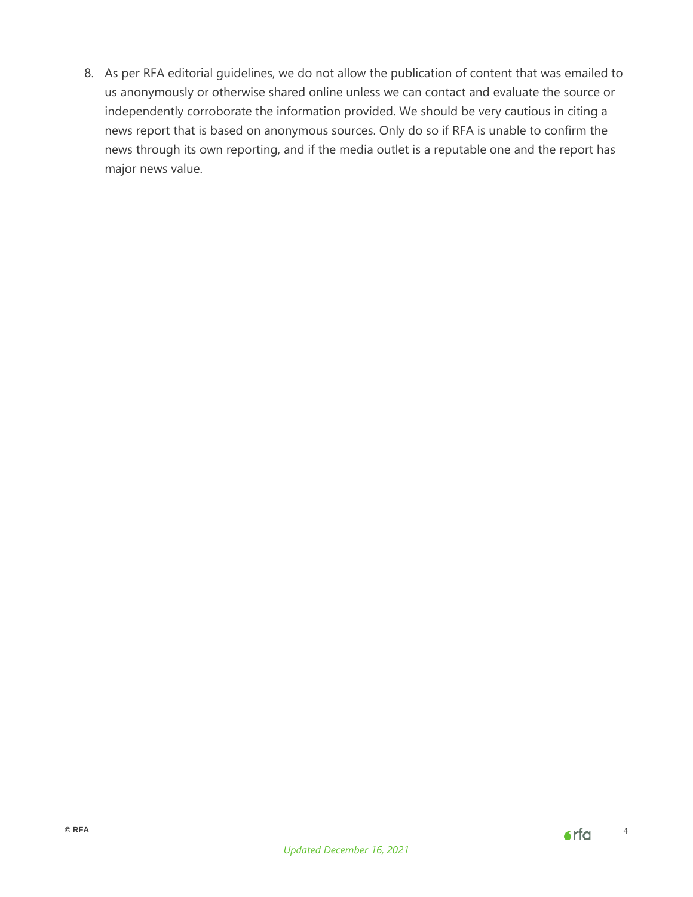8. As per RFA editorial guidelines, we do not allow the publication of content that was emailed to us anonymously or otherwise shared online unless we can contact and evaluate the source or independently corroborate the information provided. We should be very cautious in citing a news report that is based on anonymous sources. Only do so if RFA is unable to confirm the news through its own reporting, and if the media outlet is a reputable one and the report has major news value.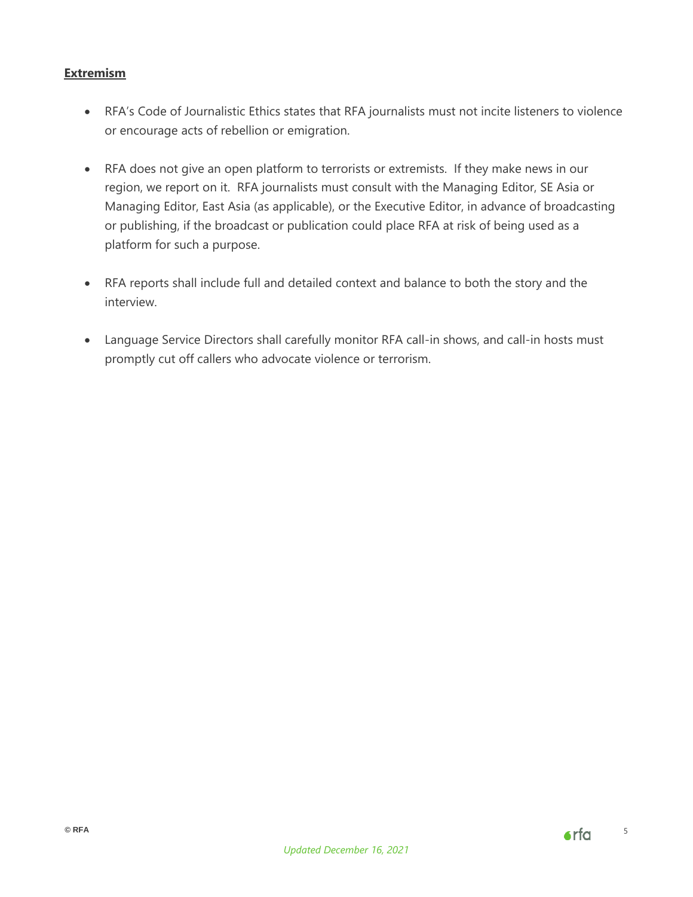## <span id="page-4-0"></span>**Extremism**

- RFA's Code of Journalistic Ethics states that RFA journalists must not incite listeners to violence or encourage acts of rebellion or emigration.
- RFA does not give an open platform to terrorists or extremists. If they make news in our region, we report on it. RFA journalists must consult with the Managing Editor, SE Asia or Managing Editor, East Asia (as applicable), or the Executive Editor, in advance of broadcasting or publishing, if the broadcast or publication could place RFA at risk of being used as a platform for such a purpose.
- RFA reports shall include full and detailed context and balance to both the story and the interview.
- Language Service Directors shall carefully monitor RFA call-in shows, and call-in hosts must promptly cut off callers who advocate violence or terrorism.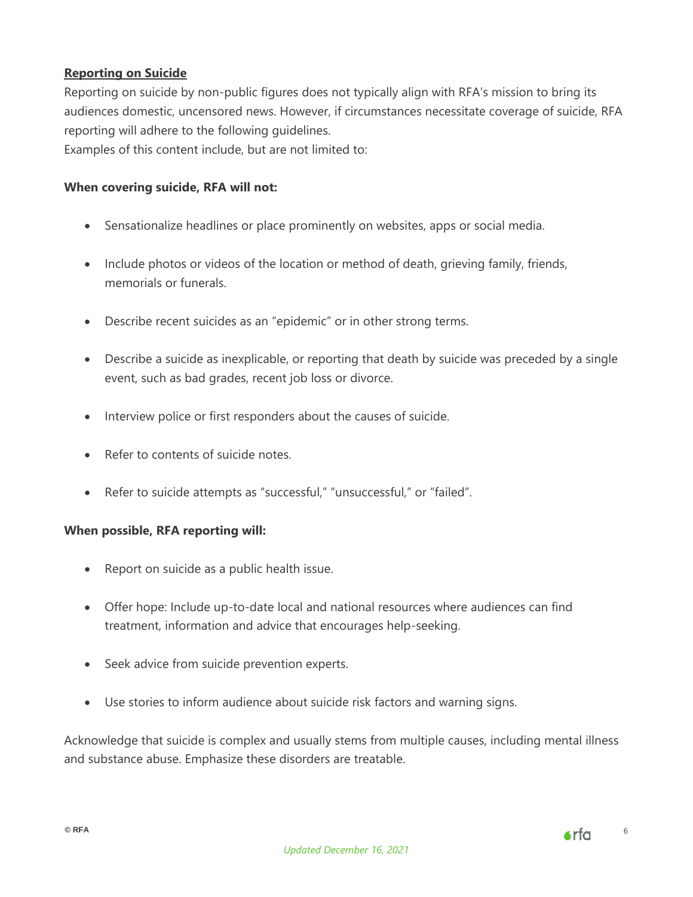# <span id="page-5-0"></span>**Reporting on Suicide**

Reporting on suicide by non-public figures does not typically align with RFA's mission to bring its audiences domestic, uncensored news. However, if circumstances necessitate coverage of suicide, RFA reporting will adhere to the following guidelines.

Examples of this content include, but are not limited to:

## **When covering suicide, RFA will not:**

- Sensationalize headlines or place prominently on websites, apps or social media.
- Include photos or videos of the location or method of death, grieving family, friends, memorials or funerals.
- Describe recent suicides as an "epidemic" or in other strong terms.
- Describe a suicide as inexplicable, or reporting that death by suicide was preceded by a single event, such as bad grades, recent job loss or divorce.
- Interview police or first responders about the causes of suicide.
- Refer to contents of suicide notes.
- Refer to suicide attempts as "successful," "unsuccessful," or "failed".

#### **When possible, RFA reporting will:**

- Report on suicide as a public health issue.
- Offer hope: Include up-to-date local and national resources where audiences can find treatment, information and advice that encourages help-seeking.
- Seek advice from suicide prevention experts.
- Use stories to inform audience about suicide risk factors and warning signs.

Acknowledge that suicide is complex and usually stems from multiple causes, including mental illness and substance abuse. Emphasize these disorders are treatable.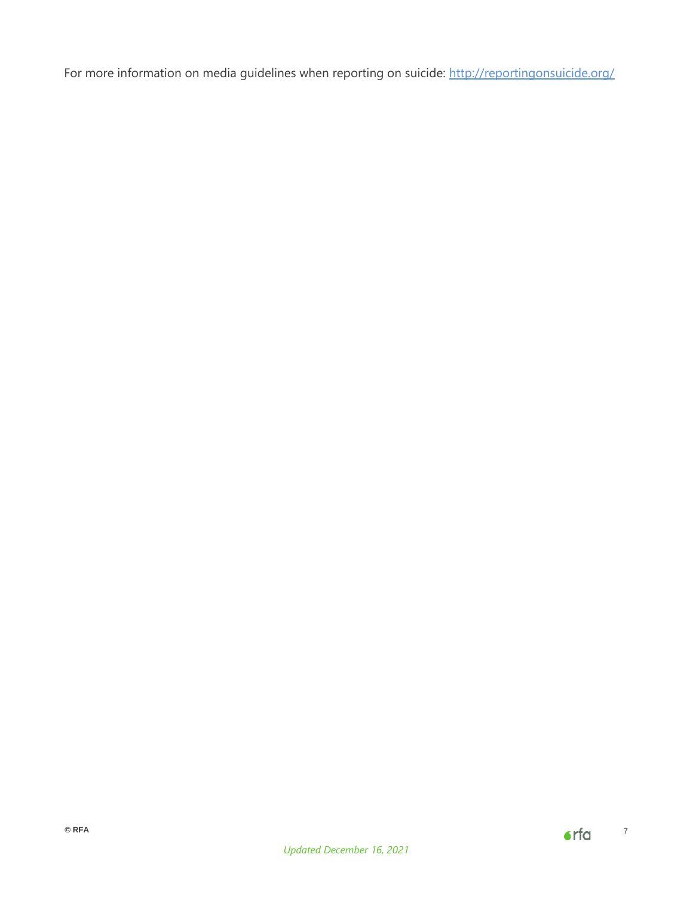For more information on media guidelines when reporting on suicide:<http://reportingonsuicide.org/>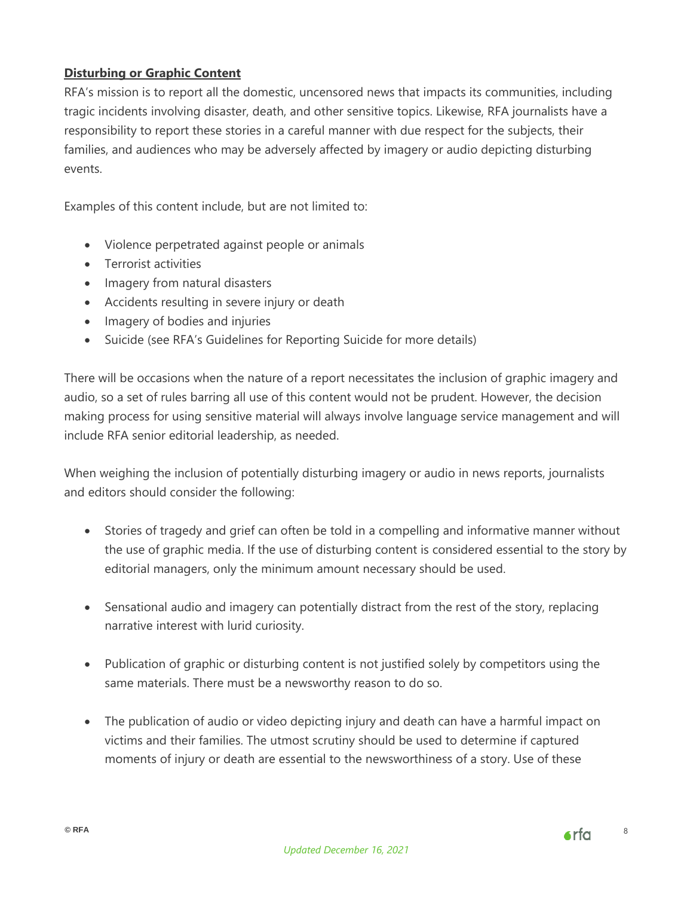# <span id="page-7-0"></span>**Disturbing or Graphic Content**

RFA's mission is to report all the domestic, uncensored news that impacts its communities, including tragic incidents involving disaster, death, and other sensitive topics. Likewise, RFA journalists have a responsibility to report these stories in a careful manner with due respect for the subjects, their families, and audiences who may be adversely affected by imagery or audio depicting disturbing events.

Examples of this content include, but are not limited to:

- Violence perpetrated against people or animals
- Terrorist activities
- Imagery from natural disasters
- Accidents resulting in severe injury or death
- Imagery of bodies and injuries
- Suicide (see RFA's Guidelines for Reporting Suicide for more details)

There will be occasions when the nature of a report necessitates the inclusion of graphic imagery and audio, so a set of rules barring all use of this content would not be prudent. However, the decision making process for using sensitive material will always involve language service management and will include RFA senior editorial leadership, as needed.

When weighing the inclusion of potentially disturbing imagery or audio in news reports, journalists and editors should consider the following:

- Stories of tragedy and grief can often be told in a compelling and informative manner without the use of graphic media. If the use of disturbing content is considered essential to the story by editorial managers, only the minimum amount necessary should be used.
- Sensational audio and imagery can potentially distract from the rest of the story, replacing narrative interest with lurid curiosity.
- Publication of graphic or disturbing content is not justified solely by competitors using the same materials. There must be a newsworthy reason to do so.
- The publication of audio or video depicting injury and death can have a harmful impact on victims and their families. The utmost scrutiny should be used to determine if captured moments of injury or death are essential to the newsworthiness of a story. Use of these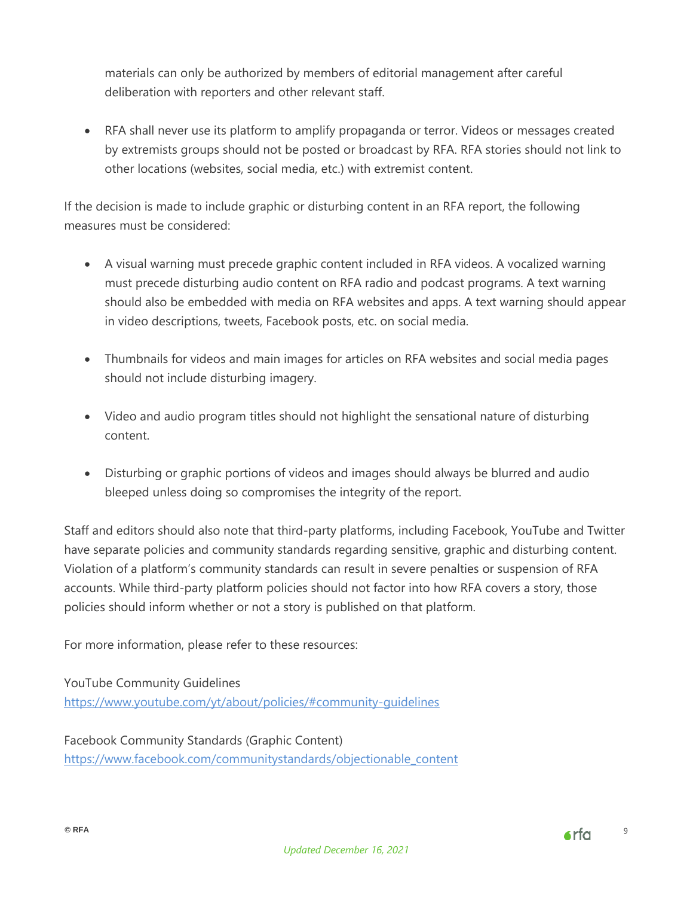materials can only be authorized by members of editorial management after careful deliberation with reporters and other relevant staff.

 RFA shall never use its platform to amplify propaganda or terror. Videos or messages created by extremists groups should not be posted or broadcast by RFA. RFA stories should not link to other locations (websites, social media, etc.) with extremist content.

If the decision is made to include graphic or disturbing content in an RFA report, the following measures must be considered:

- A visual warning must precede graphic content included in RFA videos. A vocalized warning must precede disturbing audio content on RFA radio and podcast programs. A text warning should also be embedded with media on RFA websites and apps. A text warning should appear in video descriptions, tweets, Facebook posts, etc. on social media.
- Thumbnails for videos and main images for articles on RFA websites and social media pages should not include disturbing imagery.
- Video and audio program titles should not highlight the sensational nature of disturbing content.
- Disturbing or graphic portions of videos and images should always be blurred and audio bleeped unless doing so compromises the integrity of the report.

Staff and editors should also note that third-party platforms, including Facebook, YouTube and Twitter have separate policies and community standards regarding sensitive, graphic and disturbing content. Violation of a platform's community standards can result in severe penalties or suspension of RFA accounts. While third-party platform policies should not factor into how RFA covers a story, those policies should inform whether or not a story is published on that platform.

For more information, please refer to these resources:

YouTube Community Guidelines <https://www.youtube.com/yt/about/policies/#community-guidelines>

Facebook Community Standards (Graphic Content) [https://www.facebook.com/communitystandards/objectionable\\_content](https://www.facebook.com/communitystandards/objectionable_content)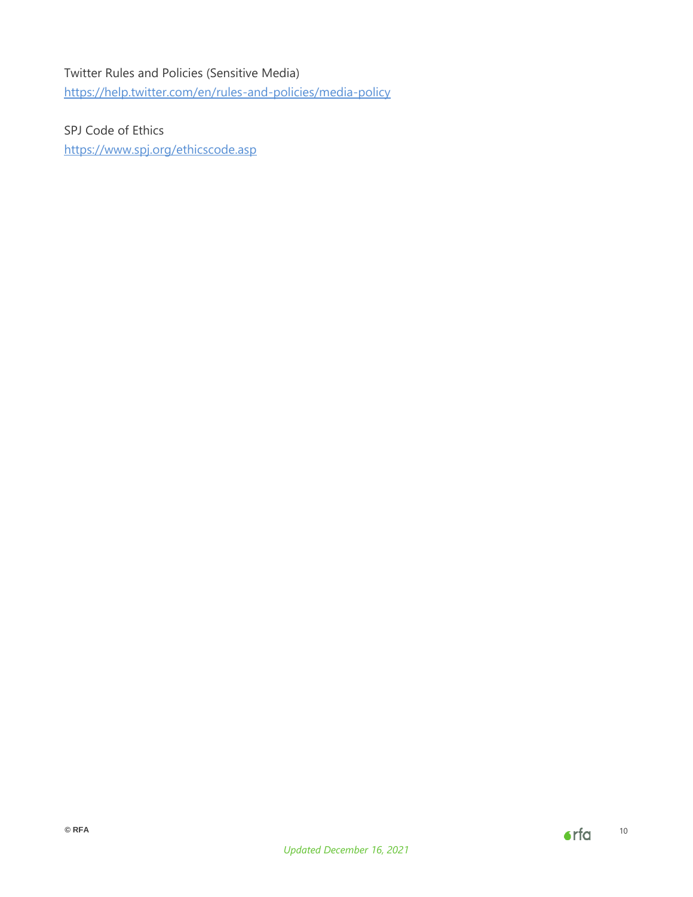# Twitter Rules and Policies (Sensitive Media) <https://help.twitter.com/en/rules-and-policies/media-policy>

SPJ Code of Ethics <https://www.spj.org/ethicscode.asp>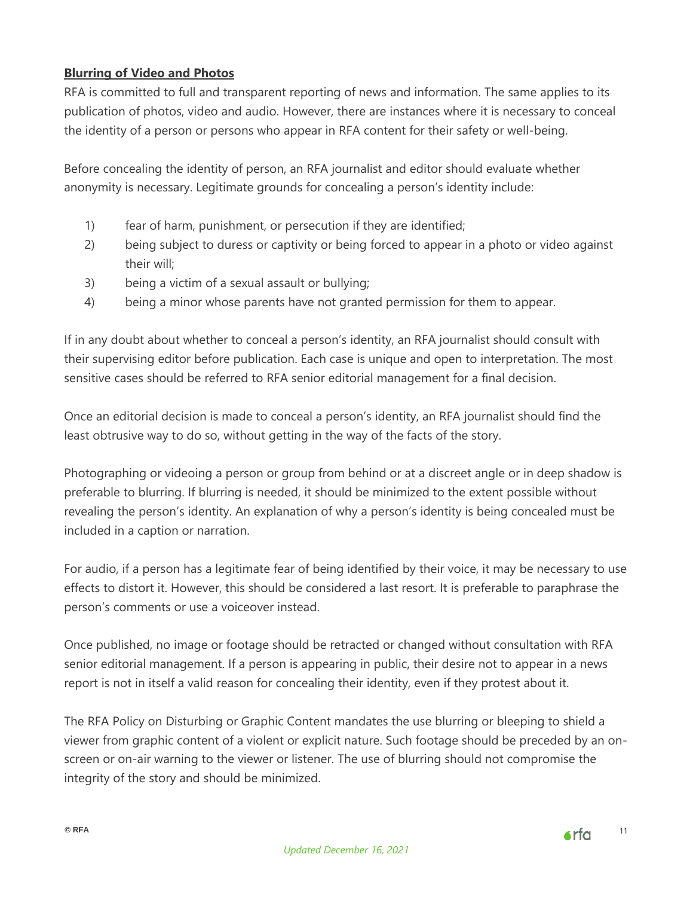# <span id="page-10-0"></span>**Blurring of Video and Photos**

RFA is committed to full and transparent reporting of news and information. The same applies to its publication of photos, video and audio. However, there are instances where it is necessary to conceal the identity of a person or persons who appear in RFA content for their safety or well-being.

Before concealing the identity of person, an RFA journalist and editor should evaluate whether anonymity is necessary. Legitimate grounds for concealing a person's identity include:

- 1) fear of harm, punishment, or persecution if they are identified;
- 2) being subject to duress or captivity or being forced to appear in a photo or video against their will;
- 3) being a victim of a sexual assault or bullying;
- 4) being a minor whose parents have not granted permission for them to appear.

If in any doubt about whether to conceal a person's identity, an RFA journalist should consult with their supervising editor before publication. Each case is unique and open to interpretation. The most sensitive cases should be referred to RFA senior editorial management for a final decision.

Once an editorial decision is made to conceal a person's identity, an RFA journalist should find the least obtrusive way to do so, without getting in the way of the facts of the story.

Photographing or videoing a person or group from behind or at a discreet angle or in deep shadow is preferable to blurring. If blurring is needed, it should be minimized to the extent possible without revealing the person's identity. An explanation of why a person's identity is being concealed must be included in a caption or narration.

For audio, if a person has a legitimate fear of being identified by their voice, it may be necessary to use effects to distort it. However, this should be considered a last resort. It is preferable to paraphrase the person's comments or use a voiceover instead.

Once published, no image or footage should be retracted or changed without consultation with RFA senior editorial management. If a person is appearing in public, their desire not to appear in a news report is not in itself a valid reason for concealing their identity, even if they protest about it.

The RFA Policy on Disturbing or Graphic Content mandates the use blurring or bleeping to shield a viewer from graphic content of a violent or explicit nature. Such footage should be preceded by an onscreen or on-air warning to the viewer or listener. The use of blurring should not compromise the integrity of the story and should be minimized.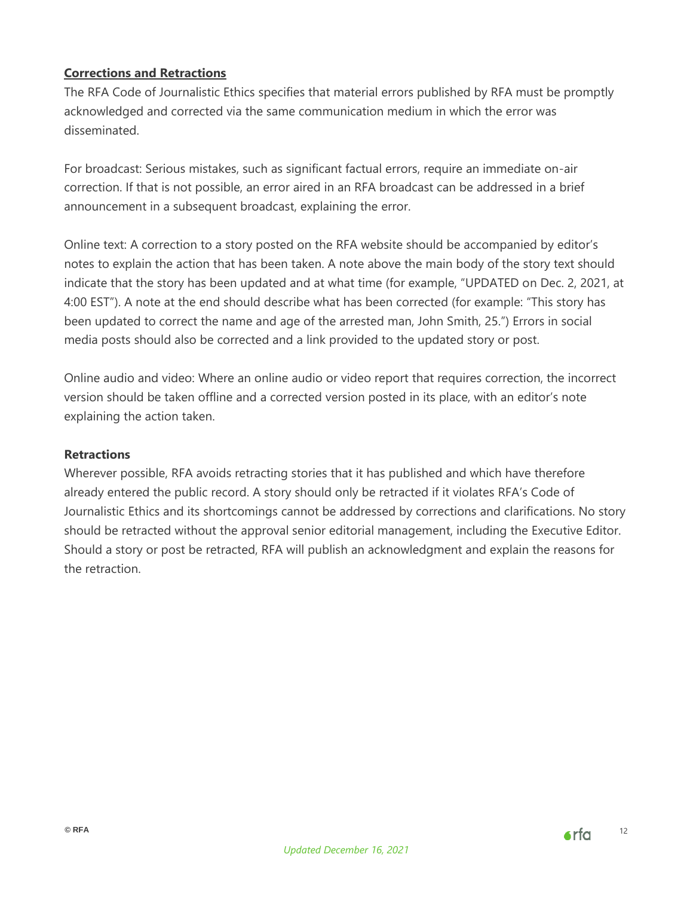# <span id="page-11-0"></span>**Corrections and Retractions**

The RFA Code of Journalistic Ethics specifies that material errors published by RFA must be promptly acknowledged and corrected via the same communication medium in which the error was disseminated.

For broadcast: Serious mistakes, such as significant factual errors, require an immediate on-air correction. If that is not possible, an error aired in an RFA broadcast can be addressed in a brief announcement in a subsequent broadcast, explaining the error.

Online text: A correction to a story posted on the RFA website should be accompanied by editor's notes to explain the action that has been taken. A note above the main body of the story text should indicate that the story has been updated and at what time (for example, "UPDATED on Dec. 2, 2021, at 4:00 EST"). A note at the end should describe what has been corrected (for example: "This story has been updated to correct the name and age of the arrested man, John Smith, 25.") Errors in social media posts should also be corrected and a link provided to the updated story or post.

Online audio and video: Where an online audio or video report that requires correction, the incorrect version should be taken offline and a corrected version posted in its place, with an editor's note explaining the action taken.

#### **Retractions**

<span id="page-11-1"></span>Wherever possible, RFA avoids retracting stories that it has published and which have therefore already entered the public record. A story should only be retracted if it violates RFA's Code of Journalistic Ethics and its shortcomings cannot be addressed by corrections and clarifications. No story should be retracted without the approval senior editorial management, including the Executive Editor. Should a story or post be retracted, RFA will publish an acknowledgment and explain the reasons for the retraction.